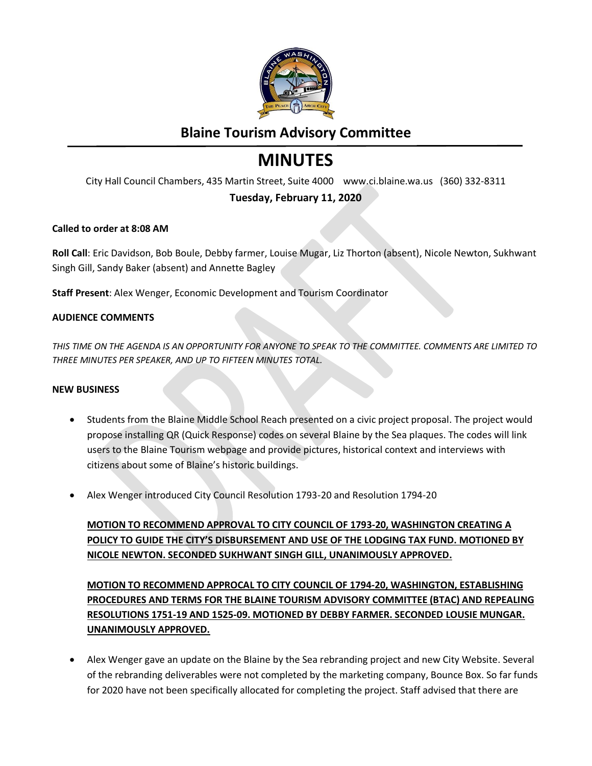

# **Blaine Tourism Advisory Committee**

# **MINUTES**

City Hall Council Chambers, 435 Martin Street, Suite 4000 www.ci.blaine.wa.us (360) 332-8311

## **Tuesday, February 11, 2020**

#### **Called to order at 8:08 AM**

**Roll Call**: Eric Davidson, Bob Boule, Debby farmer, Louise Mugar, Liz Thorton (absent), Nicole Newton, Sukhwant Singh Gill, Sandy Baker (absent) and Annette Bagley

**Staff Present**: Alex Wenger, Economic Development and Tourism Coordinator

#### **AUDIENCE COMMENTS**

*THIS TIME ON THE AGENDA IS AN OPPORTUNITY FOR ANYONE TO SPEAK TO THE COMMITTEE. COMMENTS ARE LIMITED TO THREE MINUTES PER SPEAKER, AND UP TO FIFTEEN MINUTES TOTAL.* 

#### **NEW BUSINESS**

- Students from the Blaine Middle School Reach presented on a civic project proposal. The project would propose installing QR (Quick Response) codes on several Blaine by the Sea plaques. The codes will link users to the Blaine Tourism webpage and provide pictures, historical context and interviews with citizens about some of Blaine's historic buildings.
- Alex Wenger introduced City Council Resolution 1793-20 and Resolution 1794-20

**MOTION TO RECOMMEND APPROVAL TO CITY COUNCIL OF 1793-20, WASHINGTON CREATING A POLICY TO GUIDE THE CITY'S DISBURSEMENT AND USE OF THE LODGING TAX FUND. MOTIONED BY NICOLE NEWTON. SECONDED SUKHWANT SINGH GILL, UNANIMOUSLY APPROVED.** 

**MOTION TO RECOMMEND APPROCAL TO CITY COUNCIL OF 1794-20, WASHINGTON, ESTABLISHING PROCEDURES AND TERMS FOR THE BLAINE TOURISM ADVISORY COMMITTEE (BTAC) AND REPEALING RESOLUTIONS 1751-19 AND 1525-09. MOTIONED BY DEBBY FARMER. SECONDED LOUSIE MUNGAR. UNANIMOUSLY APPROVED.**

 Alex Wenger gave an update on the Blaine by the Sea rebranding project and new City Website. Several of the rebranding deliverables were not completed by the marketing company, Bounce Box. So far funds for 2020 have not been specifically allocated for completing the project. Staff advised that there are